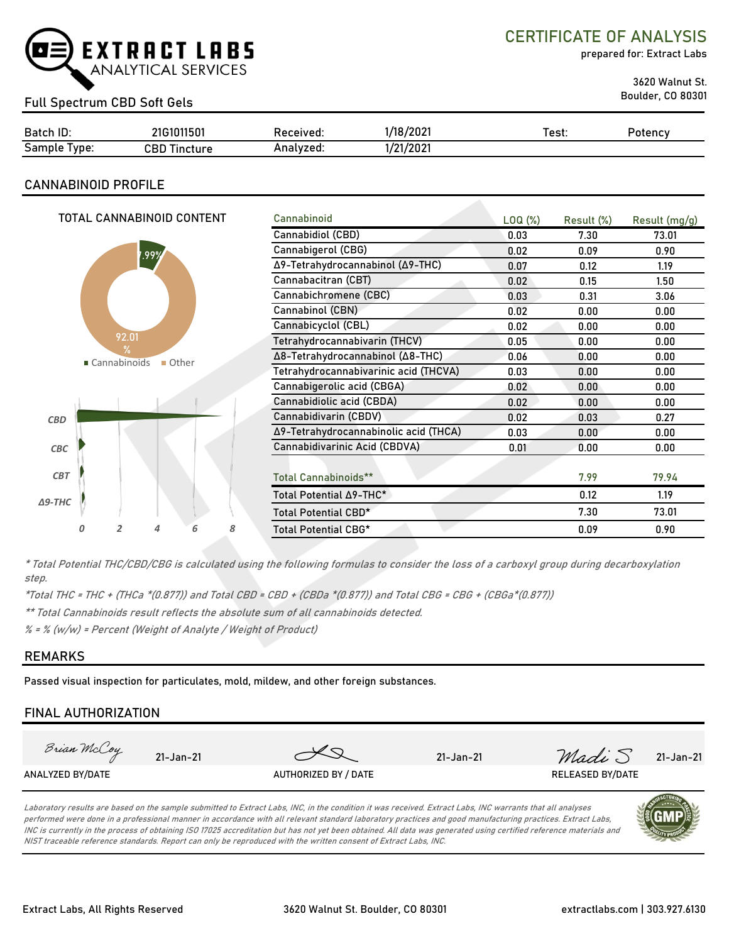

CERTIFICATE OF ANALYSIS

prepared for: Extract Labs

3620 Walnut St.

Boulder, CO 80301 Full Spectrum CBD Soft Gels

| Batch ID:                                    | 31011501<br>21G107 | Received: | :/202<br>118       | est: | Potency |
|----------------------------------------------|--------------------|-----------|--------------------|------|---------|
| $\overline{\phantom{0}}$<br>Sample<br>l vpe: | CBD<br>Tincture    | Analvzed: | /21/2021<br>$\sim$ |      |         |

### **CANNABINOID PROFILE**

|                                          | TOTAL CANNABINOID CONTENT             |                                  |      |                                  |                      | Cannabinoid                           |                     |            |               |
|------------------------------------------|---------------------------------------|----------------------------------|------|----------------------------------|----------------------|---------------------------------------|---------------------|------------|---------------|
|                                          |                                       |                                  |      |                                  |                      |                                       | LOQ( <sub>%</sub> ) | Result (%) | Result (mg/g) |
|                                          |                                       |                                  |      |                                  |                      | Cannabidiol (CBD)                     | 0.03                | 7.30       | 73.01         |
|                                          |                                       |                                  | .99% |                                  |                      | Cannabigerol (CBG)                    | 0.02                | 0.09       | 0.90          |
|                                          |                                       |                                  |      | Δ9-Tetrahydrocannabinol (Δ9-THC) | 0.07                 | 0.12                                  | 1.19                |            |               |
|                                          |                                       |                                  |      |                                  |                      | Cannabacitran (CBT)                   | 0.02                | 0.15       | 1.50          |
|                                          |                                       |                                  |      |                                  |                      | Cannabichromene (CBC)                 | 0.03                | 0.31       | 3.06          |
|                                          |                                       |                                  |      |                                  |                      | Cannabinol (CBN)                      | 0.02                | 0.00       | 0.00          |
|                                          |                                       |                                  |      |                                  |                      | Cannabicyclol (CBL)                   | 0.02                | 0.00       | 0.00          |
|                                          |                                       | 92.01                            |      |                                  |                      | Tetrahydrocannabivarin (THCV)         | 0.05                | 0.00       | 0.00          |
| $\frac{9}{6}$<br>■ Cannabinoids<br>Other |                                       | Δ8-Tetrahydrocannabinol (Δ8-THC) | 0.06 | 0.00                             | 0.00                 |                                       |                     |            |               |
|                                          | Tetrahydrocannabivarinic acid (THCVA) | 0.03                             | 0.00 | 0.00                             |                      |                                       |                     |            |               |
|                                          |                                       |                                  |      |                                  |                      | Cannabigerolic acid (CBGA)            | 0.02                | 0.00       | 0.00          |
|                                          |                                       |                                  |      |                                  |                      | Cannabidiolic acid (CBDA)             | 0.02                | 0.00       | 0.00          |
| <b>CBD</b>                               |                                       |                                  |      |                                  |                      | Cannabidivarin (CBDV)                 | 0.02                | 0.03       | 0.27          |
|                                          |                                       |                                  |      |                                  |                      | Δ9-Tetrahydrocannabinolic acid (THCA) | 0.03                | 0.00       | 0.00          |
| CBC                                      |                                       |                                  |      |                                  |                      | Cannabidivarinic Acid (CBDVA)         | 0.01                | 0.00       | 0.00          |
|                                          |                                       |                                  |      |                                  |                      |                                       |                     |            |               |
| <b>CBT</b>                               |                                       |                                  |      |                                  |                      | <b>Total Cannabinoids**</b>           |                     | 7.99       | 79.94         |
| $\Delta$ 9-THC                           |                                       |                                  |      |                                  |                      | Total Potential ∆9-THC*               |                     | 0.12       | 1.19          |
|                                          |                                       |                                  |      |                                  | Total Potential CBD* |                                       | 7.30                | 73.01      |               |
|                                          | Ο                                     | 2                                | 4    | 6                                | 8                    | <b>Total Potential CBG*</b>           |                     | 0.09       | 0.90          |
|                                          |                                       |                                  |      |                                  |                      |                                       |                     |            |               |

\* Total Potential THC/CBD/CBG is calculated using the following formulas to consider the loss of a carboxyl group during decarboxylation step.

\*Total THC = THC + (THCa \*(0.877)) and Total CBD = CBD + (CBDa \*(0.877)) and Total CBG = CBG + (CBGa\*(0.877))

\*\* Total Cannabinoids result reflects the absolute sum of all cannabinoids detected.

% = % (w/w) = Percent (Weight of Analyte / Weight of Product)

#### **REMARKS**

Passed visual inspection for particulates, mold, mildew, and other foreign substances.

## **FINAL AUTHORIZATION**



Laboratory results are based on the sample submitted to Extract Labs, INC, in the condition it was received. Extract Labs, INC warrants that all analyses performed were done in a professional manner in accordance with all relevant standard laboratory practices and good manufacturing practices. Extract Labs, INC is currently in the process of obtaining ISO 17025 accreditation but has not yet been obtained. All data was generated using certified reference materials and NIST traceable reference standards. Report can only be reproduced with the written consent of Extract Labs, INC.

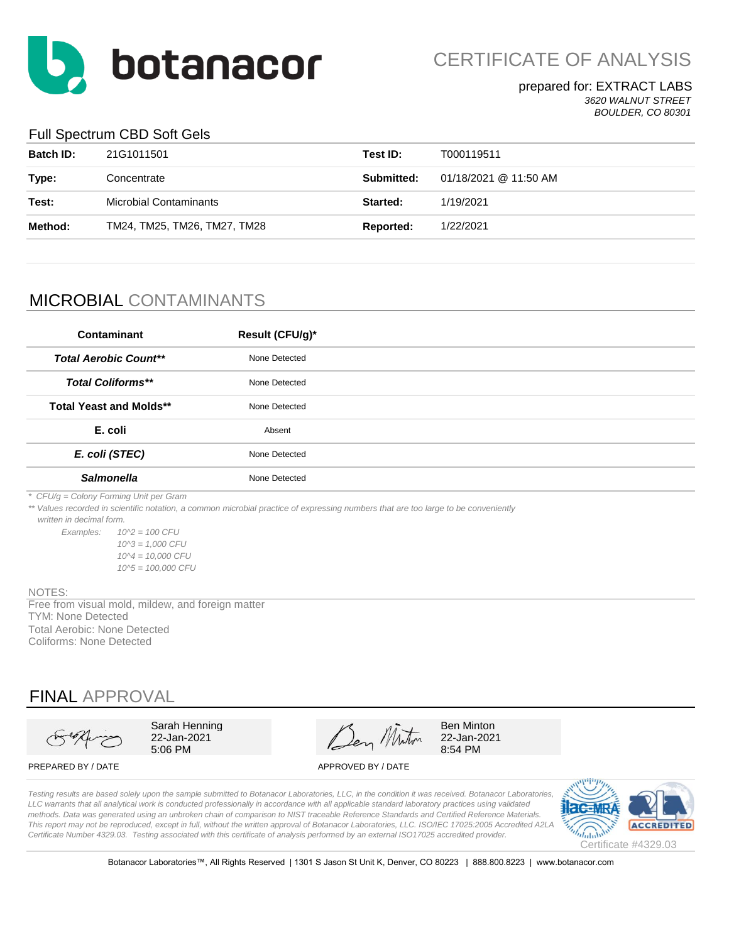

CERTIFICATE OF ANALYSIS

#### prepared for: EXTRACT LABS *3620 WALNUT STREET BOULDER, CO 80301*

#### Full Spectrum CBD Soft Gels

| <b>Batch ID:</b> | 21G1011501                    | Test ID:   | T000119511            |
|------------------|-------------------------------|------------|-----------------------|
| Type:            | Concentrate                   | Submitted: | 01/18/2021 @ 11:50 AM |
| Test:            | <b>Microbial Contaminants</b> | Started:   | 1/19/2021             |
| Method:          | TM24, TM25, TM26, TM27, TM28  | Reported:  | 1/22/2021             |
|                  |                               |            |                       |

# MICROBIAL CONTAMINANTS

| Contaminant                    | Result (CFU/g)* |
|--------------------------------|-----------------|
| <b>Total Aerobic Count**</b>   | None Detected   |
| <b>Total Coliforms**</b>       | None Detected   |
| <b>Total Yeast and Molds**</b> | None Detected   |
| E. coli                        | Absent          |
| E. coli (STEC)                 | None Detected   |
| <b>Salmonella</b>              | None Detected   |

*\* CFU/g = Colony Forming Unit per Gram*

*\*\* Values recorded in scientific notation, a common microbial practice of expressing numbers that are too large to be conveniently* 

 *written in decimal form.*

*Examples: 10^2 = 100 CFU 10^3 = 1,000 CFU 10^4 = 10,000 CFU 10^5 = 100,000 CFU*

#### NOTES:

TYM: None Detected Free from visual mold, mildew, and foreign matter Total Aerobic: None Detected Coliforms: None Detected

# FINAL APPROVAL



Sarah Henning 22-Jan-2021 5:06 PM

Den Miton

Ben Minton 22-Jan-2021 8:54 PM

#### PREPARED BY / DATE APPROVED BY / DATE

*Testing results are based solely upon the sample submitted to Botanacor Laboratories, LLC, in the condition it was received. Botanacor Laboratories,*  LLC warrants that all analytical work is conducted professionally in accordance with all applicable standard laboratory practices using validated *methods. Data was generated using an unbroken chain of comparison to NIST traceable Reference Standards and Certified Reference Materials. This report may not be reproduced, except in full, without the written approval of Botanacor Laboratories, LLC. ISO/IEC 17025:2005 Accredited A2LA Certificate Number 4329.03. Testing associated with this certificate of analysis performed by an external ISO17025 accredited provider.*



Botanacor Laboratories™, All Rights Reserved | 1301 S Jason St Unit K, Denver, CO 80223 | 888.800.8223 | www.botanacor.com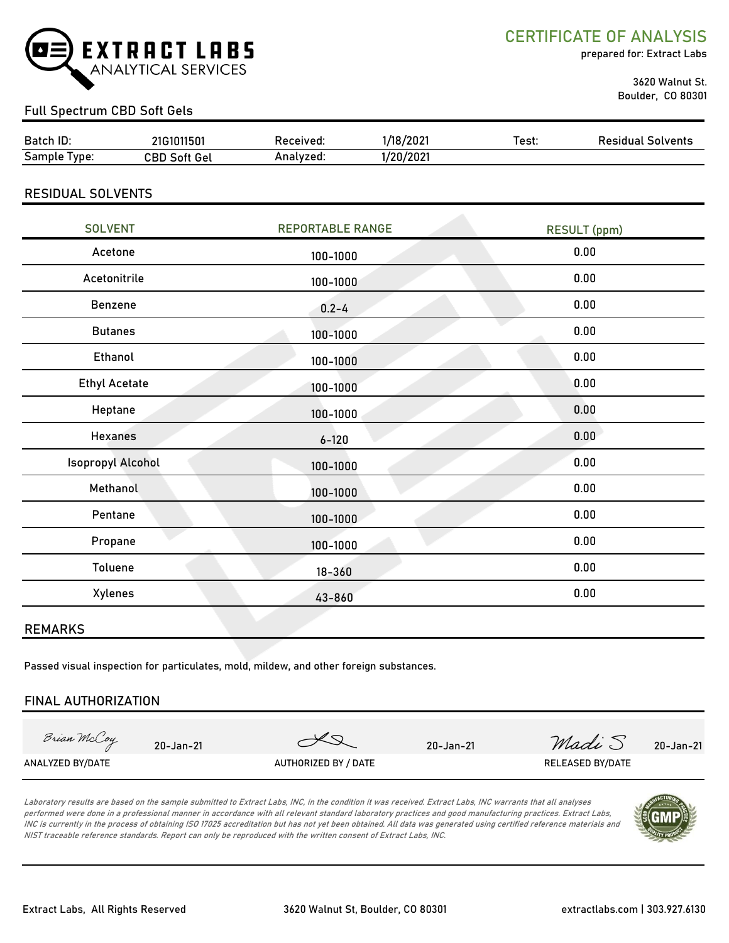

CERTIFICATE OF ANALYSIS

prepared for: Extract Labs

 3620 Walnut St. Boulder, CO 80301

#### Full Spectrum CBD Soft Gels

| <b>Batch</b><br>ı ID:     | $-24504$<br>71G16<br>115U | eceived:  | 3/202<br>/18 | est: | Solvents<br>`ິ ⊓!…<br 0 م |
|---------------------------|---------------------------|-----------|--------------|------|---------------------------|
| $\sim$<br>Sample<br>lvpe: | 7BD.<br>Gel<br>Soft.      | Analvzed: | /2021<br>חרו |      |                           |

#### RESIDUAL SOLVENTS

| <b>SOLVENT</b>           | <b>REPORTABLE RANGE</b> | <b>RESULT</b> (ppm) |
|--------------------------|-------------------------|---------------------|
| Acetone                  | 100-1000                | 0.00                |
| Acetonitrile             | 100-1000                | 0.00                |
| Benzene                  | $0.2 - 4$               | 0.00                |
| <b>Butanes</b>           | 100-1000                | 0.00                |
| Ethanol                  | 100-1000                | 0.00                |
| <b>Ethyl Acetate</b>     | 100-1000                | 0.00                |
| Heptane                  | 100-1000                | 0.00                |
| <b>Hexanes</b>           | $6 - 120$               | 0.00                |
| <b>Isopropyl Alcohol</b> | 100-1000                | 0.00                |
| Methanol                 | 100-1000                | 0.00                |
| Pentane                  | 100-1000                | 0.00                |
| Propane                  | 100-1000                | 0.00                |
| Toluene                  | $18 - 360$              | 0.00                |
| Xylenes                  | 43-860                  | 0.00                |
|                          |                         |                     |

#### REMARKS

Passed visual inspection for particulates, mold, mildew, and other foreign substances.

#### FINAL AUTHORIZATION

Brian McCoy

20-Jan-21 20-Jan-21  $\sqrt{2}$  20-Jan-21  $\mathcal{M}$ adi S 20-Jan-21

ANALYZED BY/DATE AUTHORIZED BY / DATE AUTHORIZED BY / DATE RELEASED BY/DATE

Laboratory results are based on the sample submitted to Extract Labs, INC, in the condition it was received. Extract Labs, INC warrants that all analyses performed were done in a professional manner in accordance with all relevant standard laboratory practices and good manufacturing practices. Extract Labs, INC is currently in the process of obtaining ISO 17025 accreditation but has not yet been obtained. All data was generated using certified reference materials and NIST traceable reference standards. Report can only be reproduced with the written consent of Extract Labs, INC.